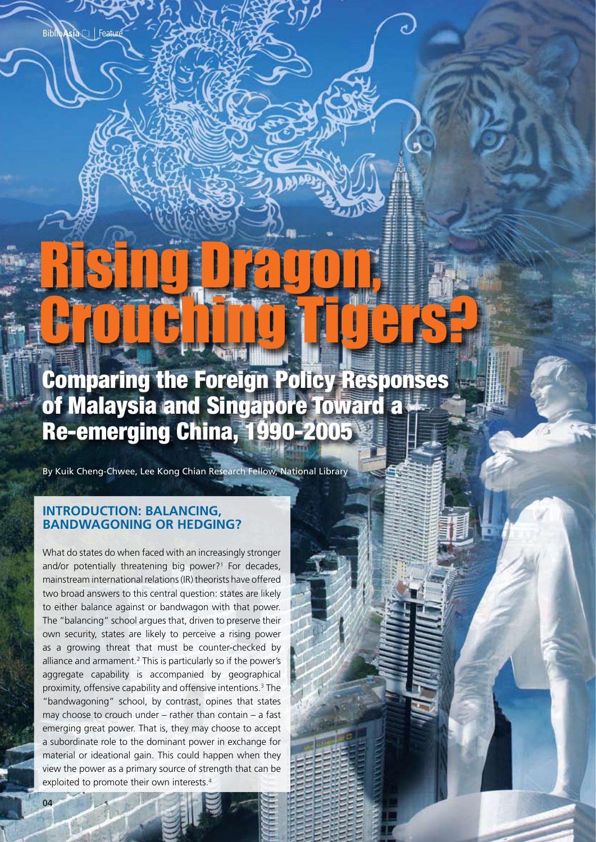# Comparing the Foreign Policy Responses of Malaysia and Singapore Toward a Re-emerging China, 1990-2005 Crouching Tyse

Rising Dragon,

By Kuik Cheng-Chwee, Lee Kong Chian Research Fellow, National Library

## **Introduction: Balancing, Bandwagoning or Hedging?**

Feature Biblio**Asia**

What do states do when faced with an increasingly stronger and/or potentially threatening big power?<sup>1</sup> For decades, mainstream international relations (IR) theorists have offered two broad answers to this central question: states are likely to either balance against or bandwagon with that power. The "balancing" school argues that, driven to preserve their own security, states are likely to perceive a rising power as a growing threat that must be counter-checked by alliance and armament.<sup>2</sup> This is particularly so if the power's aggregate capability is accompanied by geographical proximity, offensive capability and offensive intentions.<sup>3</sup> The "bandwagoning" school, by contrast, opines that states may choose to crouch under – rather than contain – a fast emerging great power. That is, they may choose to accept a subordinate role to the dominant power in exchange for material or ideational gain. This could happen when they view the power as a primary source of strength that can be exploited to promote their own interests.<sup>4</sup>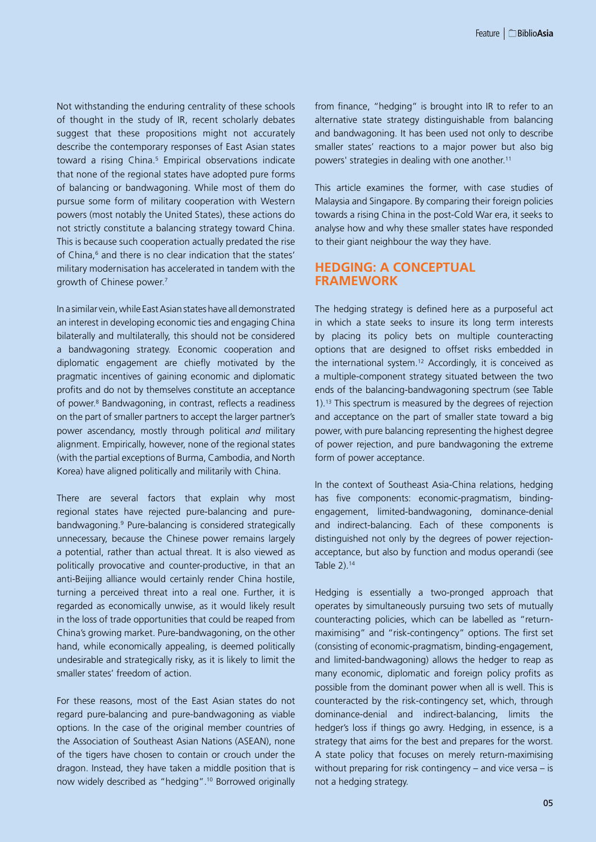Not withstanding the enduring centrality of these schools of thought in the study of IR, recent scholarly debates suggest that these propositions might not accurately describe the contemporary responses of East Asian states toward a rising China.<sup>5</sup> Empirical observations indicate that none of the regional states have adopted pure forms of balancing or bandwagoning. While most of them do pursue some form of military cooperation with Western powers (most notably the United States), these actions do not strictly constitute a balancing strategy toward China. This is because such cooperation actually predated the rise of China,<sup>6</sup> and there is no clear indication that the states' military modernisation has accelerated in tandem with the growth of Chinese power.7

In a similar vein, while East Asian states have all demonstrated an interest in developing economic ties and engaging China bilaterally and multilaterally, this should not be considered a bandwagoning strategy. Economic cooperation and diplomatic engagement are chiefly motivated by the pragmatic incentives of gaining economic and diplomatic profits and do not by themselves constitute an acceptance of power.<sup>8</sup> Bandwagoning, in contrast, reflects a readiness on the part of smaller partners to accept the larger partner's power ascendancy, mostly through political *and* military alignment. Empirically, however, none of the regional states (with the partial exceptions of Burma, Cambodia, and North Korea) have aligned politically and militarily with China.

There are several factors that explain why most regional states have rejected pure-balancing and purebandwagoning.9 Pure-balancing is considered strategically unnecessary, because the Chinese power remains largely a potential, rather than actual threat. It is also viewed as politically provocative and counter-productive, in that an anti-Beijing alliance would certainly render China hostile, turning a perceived threat into a real one. Further, it is regarded as economically unwise, as it would likely result in the loss of trade opportunities that could be reaped from China's growing market. Pure-bandwagoning, on the other hand, while economically appealing, is deemed politically undesirable and strategically risky, as it is likely to limit the smaller states' freedom of action.

For these reasons, most of the East Asian states do not regard pure-balancing and pure-bandwagoning as viable options. In the case of the original member countries of the Association of Southeast Asian Nations (ASEAN), none of the tigers have chosen to contain or crouch under the dragon. Instead, they have taken a middle position that is now widely described as "hedging".10 Borrowed originally from finance, "hedging" is brought into IR to refer to an alternative state strategy distinguishable from balancing and bandwagoning. It has been used not only to describe smaller states' reactions to a major power but also big powers' strategies in dealing with one another.<sup>11</sup>

This article examines the former, with case studies of Malaysia and Singapore. By comparing their foreign policies towards a rising China in the post-Cold War era, it seeks to analyse how and why these smaller states have responded to their giant neighbour the way they have.

## **Hedging: A Conceptual Framework**

The hedging strategy is defined here as a purposeful act in which a state seeks to insure its long term interests by placing its policy bets on multiple counteracting options that are designed to offset risks embedded in the international system.12 Accordingly, it is conceived as a multiple-component strategy situated between the two ends of the balancing-bandwagoning spectrum (see Table 1).13 This spectrum is measured by the degrees of rejection and acceptance on the part of smaller state toward a big power, with pure balancing representing the highest degree of power rejection, and pure bandwagoning the extreme form of power acceptance.

In the context of Southeast Asia-China relations, hedging has five components: economic-pragmatism, bindingengagement, limited-bandwagoning, dominance-denial and indirect-balancing. Each of these components is distinguished not only by the degrees of power rejectionacceptance, but also by function and modus operandi (see Table 2).14

Hedging is essentially a two-pronged approach that operates by simultaneously pursuing two sets of mutually counteracting policies, which can be labelled as "returnmaximising" and "risk-contingency" options. The first set (consisting of economic-pragmatism, binding-engagement, and limited-bandwagoning) allows the hedger to reap as many economic, diplomatic and foreign policy profits as possible from the dominant power when all is well. This is counteracted by the risk-contingency set, which, through dominance-denial and indirect-balancing, limits the hedger's loss if things go awry. Hedging, in essence, is a strategy that aims for the best and prepares for the worst. A state policy that focuses on merely return-maximising without preparing for risk contingency – and vice versa – is not a hedging strategy.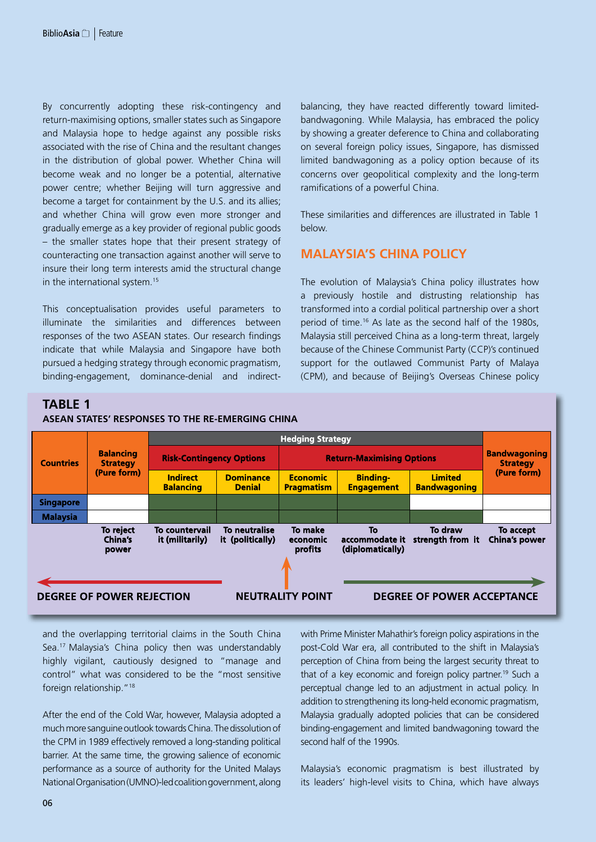By concurrently adopting these risk-contingency and return-maximising options, smaller states such as Singapore and Malaysia hope to hedge against any possible risks associated with the rise of China and the resultant changes in the distribution of global power. Whether China will become weak and no longer be a potential, alternative power centre; whether Beijing will turn aggressive and become a target for containment by the U.S. and its allies; and whether China will grow even more stronger and gradually emerge as a key provider of regional public goods – the smaller states hope that their present strategy of counteracting one transaction against another will serve to insure their long term interests amid the structural change in the international system.15

This conceptualisation provides useful parameters to illuminate the similarities and differences between responses of the two ASEAN states. Our research findings indicate that while Malaysia and Singapore have both pursued a hedging strategy through economic pragmatism, binding-engagement, dominance-denial and indirect-

balancing, they have reacted differently toward limitedbandwagoning. While Malaysia, has embraced the policy by showing a greater deference to China and collaborating on several foreign policy issues, Singapore, has dismissed limited bandwagoning as a policy option because of its concerns over geopolitical complexity and the long-term ramifications of a powerful China.

These similarities and differences are illustrated in Table 1 below.

## **Malaysia's China Policy**

The evolution of Malaysia's China policy illustrates how a previously hostile and distrusting relationship has transformed into a cordial political partnership over a short period of time.16 As late as the second half of the 1980s, Malaysia still perceived China as a long-term threat, largely because of the Chinese Communist Party (CCP)'s continued support for the outlawed Communist Party of Malaya (CPM), and because of Beijing's Overseas Chinese policy

## **TABLE 1**



and the overlapping territorial claims in the South China Sea.17 Malaysia's China policy then was understandably highly vigilant, cautiously designed to "manage and control" what was considered to be the "most sensitive foreign relationship."18

After the end of the Cold War, however, Malaysia adopted a much more sanguine outlook towards China. The dissolution of the CPM in 1989 effectively removed a long-standing political barrier. At the same time, the growing salience of economic performance as a source of authority for the United Malays National Organisation (UMNO)-led coalition government, along with Prime Minister Mahathir's foreign policy aspirations in the post-Cold War era, all contributed to the shift in Malaysia's perception of China from being the largest security threat to that of a key economic and foreign policy partner.<sup>19</sup> Such a perceptual change led to an adjustment in actual policy. In addition to strengthening its long-held economic pragmatism, Malaysia gradually adopted policies that can be considered binding-engagement and limited bandwagoning toward the second half of the 1990s.

Malaysia's economic pragmatism is best illustrated by its leaders' high-level visits to China, which have always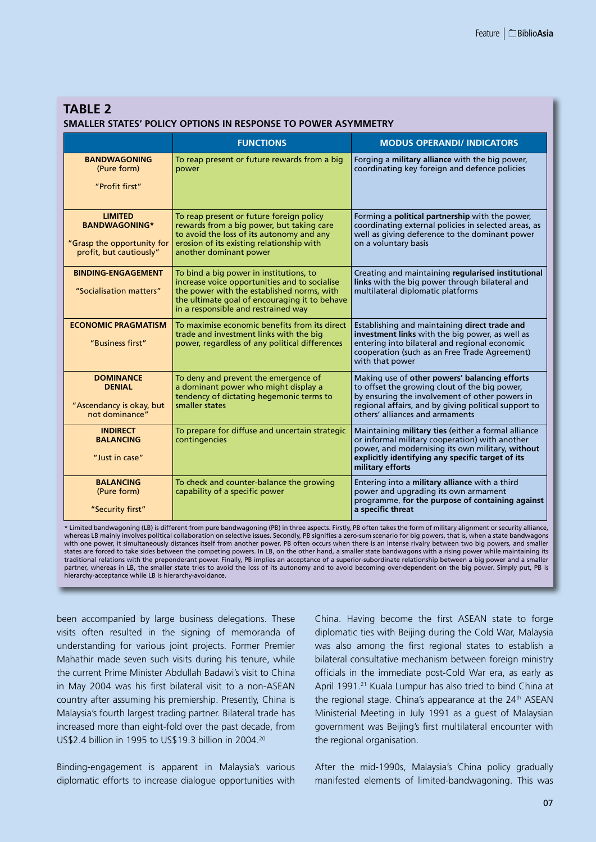## **TABLE 2 SMALLER STATES' POLICY OPTIONS IN RESPONSE TO POWER ASYMMETRY**

|                                                                                                 | <b>FUNCTIONS</b>                                                                                                                                                                                                               | <b>MODUS OPERANDI/ INDICATORS</b>                                                                                                                                                                                                           |
|-------------------------------------------------------------------------------------------------|--------------------------------------------------------------------------------------------------------------------------------------------------------------------------------------------------------------------------------|---------------------------------------------------------------------------------------------------------------------------------------------------------------------------------------------------------------------------------------------|
| <b>BANDWAGONING</b><br>(Pure form)<br>"Profit first"                                            | To reap present or future rewards from a big<br>power                                                                                                                                                                          | Forging a military alliance with the big power,<br>coordinating key foreign and defence policies                                                                                                                                            |
| <b>LIMITED</b><br><b>BANDWAGONING*</b><br>"Grasp the opportunity for<br>profit, but cautiously" | To reap present or future foreign policy<br>rewards from a big power, but taking care<br>to avoid the loss of its autonomy and any<br>erosion of its existing relationship with<br>another dominant power                      | Forming a <b>political partnership</b> with the power,<br>coordinating external policies in selected areas, as<br>well as giving deference to the dominant power<br>on a voluntary basis                                                    |
| <b>BINDING-ENGAGEMENT</b><br>"Socialisation matters"                                            | To bind a big power in institutions, to<br>increase voice opportunities and to socialise<br>the power with the established norms, with<br>the ultimate goal of encouraging it to behave<br>in a responsible and restrained way | Creating and maintaining regularised institutional<br>links with the big power through bilateral and<br>multilateral diplomatic platforms                                                                                                   |
| <b>ECONOMIC PRAGMATISM</b><br>"Business first"                                                  | To maximise economic benefits from its direct<br>trade and investment links with the big<br>power, regardless of any political differences                                                                                     | Establishing and maintaining direct trade and<br>investment links with the big power, as well as<br>entering into bilateral and regional economic<br>cooperation (such as an Free Trade Agreement)<br>with that power                       |
| <b>DOMINANCE</b><br><b>DENIAL</b><br>"Ascendancy is okay, but<br>not dominance"                 | To deny and prevent the emergence of<br>a dominant power who might display a<br>tendency of dictating hegemonic terms to<br>smaller states                                                                                     | Making use of other powers' balancing efforts<br>to offset the growing clout of the big power,<br>by ensuring the involvement of other powers in<br>regional affairs, and by giving political support to<br>others' alliances and armaments |
| <b>INDIRECT</b><br><b>BALANCING</b><br>"Just in case"                                           | To prepare for diffuse and uncertain strategic<br>contingencies                                                                                                                                                                | Maintaining military ties (either a formal alliance<br>or informal military cooperation) with another<br>power, and modernising its own military, without<br>explicitly identifying any specific target of its<br>military efforts          |
| <b>BALANCING</b><br>(Pure form)<br>"Security first"                                             | To check and counter-balance the growing<br>capability of a specific power                                                                                                                                                     | Entering into a military alliance with a third<br>power and upgrading its own armament<br>programme, for the purpose of containing against<br>a specific threat                                                                             |

\* Limited bandwagoning (LB) is different from pure bandwagoning (PB) in three aspects. Firstly, PB often takes the form of military alignment or security alliance, whereas LB mainly involves political collaboration on selective issues. Secondly, PB signifies a zero-sum scenario for big powers, that is, when a state bandwagons with one power, it simultaneously distances itself from another power. PB often occurs when there is an intense rivalry between two big powers, and smaller states are forced to take sides between the competing powers. In LB, on the other hand, a smaller state bandwagons with a rising power while maintaining its traditional relations with the preponderant power. Finally, PB implies an acceptance of a superior-subordinate relationship between a big power and a smaller partner, whereas in LB, the smaller state tries to avoid the loss of its autonomy and to avoid becoming over-dependent on the big power. Simply put, PB is hierarchy-acceptance while LB is hierarchy-avoidance.

been accompanied by large business delegations. These visits often resulted in the signing of memoranda of understanding for various joint projects. Former Premier Mahathir made seven such visits during his tenure, while the current Prime Minister Abdullah Badawi's visit to China in May 2004 was his first bilateral visit to a non-ASEAN country after assuming his premiership. Presently, China is Malaysia's fourth largest trading partner. Bilateral trade has increased more than eight-fold over the past decade, from US\$2.4 billion in 1995 to US\$19.3 billion in 2004.20

Binding-engagement is apparent in Malaysia's various diplomatic efforts to increase dialogue opportunities with

China. Having become the first ASEAN state to forge diplomatic ties with Beijing during the Cold War, Malaysia was also among the first regional states to establish a bilateral consultative mechanism between foreign ministry officials in the immediate post-Cold War era, as early as April 1991.<sup>21</sup> Kuala Lumpur has also tried to bind China at the regional stage. China's appearance at the 24<sup>th</sup> ASEAN Ministerial Meeting in July 1991 as a guest of Malaysian government was Beijing's first multilateral encounter with the regional organisation.

After the mid-1990s, Malaysia's China policy gradually manifested elements of limited-bandwagoning. This was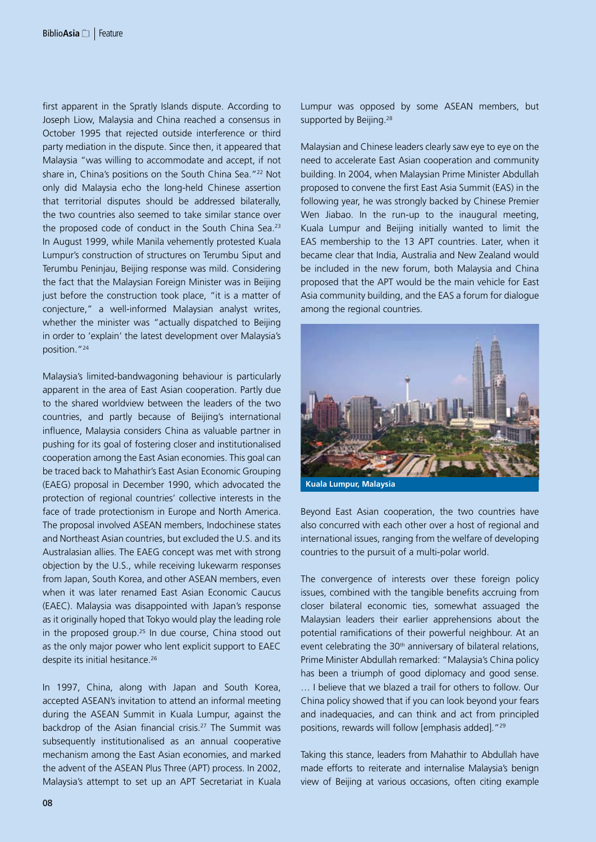first apparent in the Spratly Islands dispute. According to Joseph Liow, Malaysia and China reached a consensus in October 1995 that rejected outside interference or third party mediation in the dispute. Since then, it appeared that Malaysia "was willing to accommodate and accept, if not share in, China's positions on the South China Sea."<sup>22</sup> Not only did Malaysia echo the long-held Chinese assertion that territorial disputes should be addressed bilaterally, the two countries also seemed to take similar stance over the proposed code of conduct in the South China Sea.<sup>23</sup> In August 1999, while Manila vehemently protested Kuala Lumpur's construction of structures on Terumbu Siput and Terumbu Peninjau, Beijing response was mild. Considering the fact that the Malaysian Foreign Minister was in Beijing just before the construction took place, "it is a matter of conjecture," a well-informed Malaysian analyst writes, whether the minister was "actually dispatched to Beijing in order to 'explain' the latest development over Malaysia's position."24

Malaysia's limited-bandwagoning behaviour is particularly apparent in the area of East Asian cooperation. Partly due to the shared worldview between the leaders of the two countries, and partly because of Beijing's international influence, Malaysia considers China as valuable partner in pushing for its goal of fostering closer and institutionalised cooperation among the East Asian economies. This goal can be traced back to Mahathir's East Asian Economic Grouping (EAEG) proposal in December 1990, which advocated the protection of regional countries' collective interests in the face of trade protectionism in Europe and North America. The proposal involved ASEAN members, Indochinese states and Northeast Asian countries, but excluded the U.S. and its Australasian allies. The EAEG concept was met with strong objection by the U.S., while receiving lukewarm responses from Japan, South Korea, and other ASEAN members, even when it was later renamed East Asian Economic Caucus (EAEC). Malaysia was disappointed with Japan's response as it originally hoped that Tokyo would play the leading role in the proposed group.<sup>25</sup> In due course, China stood out as the only major power who lent explicit support to EAEC despite its initial hesitance.<sup>26</sup>

In 1997, China, along with Japan and South Korea, accepted ASEAN's invitation to attend an informal meeting during the ASEAN Summit in Kuala Lumpur, against the backdrop of the Asian financial crisis.<sup>27</sup> The Summit was subsequently institutionalised as an annual cooperative mechanism among the East Asian economies, and marked the advent of the ASEAN Plus Three (APT) process. In 2002, Malaysia's attempt to set up an APT Secretariat in Kuala Lumpur was opposed by some ASEAN members, but supported by Beijing.<sup>28</sup>

Malaysian and Chinese leaders clearly saw eye to eye on the need to accelerate East Asian cooperation and community building. In 2004, when Malaysian Prime Minister Abdullah proposed to convene the first East Asia Summit (EAS) in the following year, he was strongly backed by Chinese Premier Wen Jiabao. In the run-up to the inaugural meeting, Kuala Lumpur and Beijing initially wanted to limit the EAS membership to the 13 APT countries. Later, when it became clear that India, Australia and New Zealand would be included in the new forum, both Malaysia and China proposed that the APT would be the main vehicle for East Asia community building, and the EAS a forum for dialogue among the regional countries.



**Kuala Lumpur, Malaysia**

Beyond East Asian cooperation, the two countries have also concurred with each other over a host of regional and international issues, ranging from the welfare of developing countries to the pursuit of a multi-polar world.

The convergence of interests over these foreign policy issues, combined with the tangible benefits accruing from closer bilateral economic ties, somewhat assuaged the Malaysian leaders their earlier apprehensions about the potential ramifications of their powerful neighbour. At an event celebrating the 30<sup>th</sup> anniversary of bilateral relations, Prime Minister Abdullah remarked: "Malaysia's China policy has been a triumph of good diplomacy and good sense. … I believe that we blazed a trail for others to follow. Our China policy showed that if you can look beyond your fears and inadequacies, and can think and act from principled positions, rewards will follow [emphasis added]."29

Taking this stance, leaders from Mahathir to Abdullah have made efforts to reiterate and internalise Malaysia's benign view of Beijing at various occasions, often citing example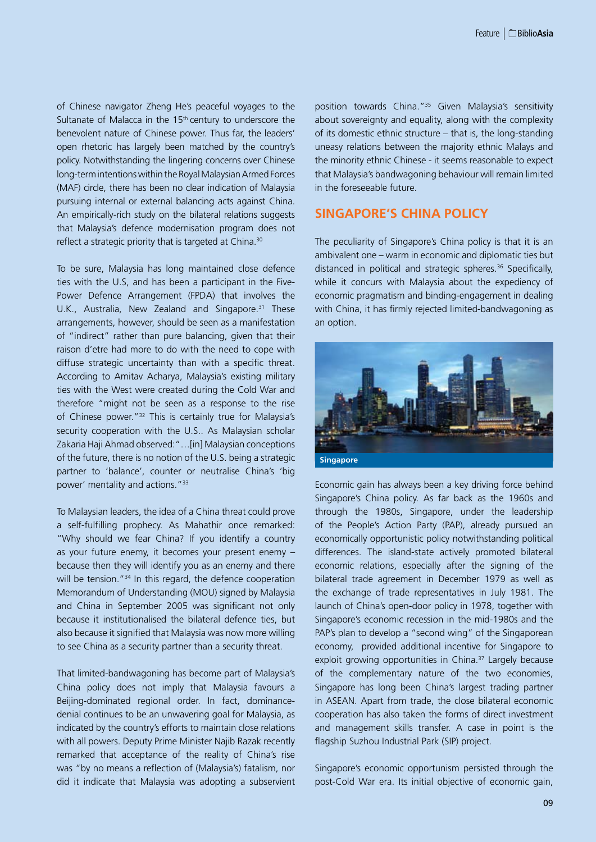of Chinese navigator Zheng He's peaceful voyages to the Sultanate of Malacca in the  $15<sup>th</sup>$  century to underscore the benevolent nature of Chinese power. Thus far, the leaders' open rhetoric has largely been matched by the country's policy. Notwithstanding the lingering concerns over Chinese long-term intentions within the Royal Malaysian Armed Forces (MAF) circle, there has been no clear indication of Malaysia pursuing internal or external balancing acts against China. An empirically-rich study on the bilateral relations suggests that Malaysia's defence modernisation program does not reflect a strategic priority that is targeted at China.<sup>30</sup>

To be sure, Malaysia has long maintained close defence ties with the U.S, and has been a participant in the Five-Power Defence Arrangement (FPDA) that involves the U.K., Australia, New Zealand and Singapore.<sup>31</sup> These arrangements, however, should be seen as a manifestation of "indirect" rather than pure balancing, given that their raison d'etre had more to do with the need to cope with diffuse strategic uncertainty than with a specific threat. According to Amitav Acharya, Malaysia's existing military ties with the West were created during the Cold War and therefore "might not be seen as a response to the rise of Chinese power."32 This is certainly true for Malaysia's security cooperation with the U.S.. As Malaysian scholar Zakaria Haji Ahmad observed:"…[in] Malaysian conceptions of the future, there is no notion of the U.S. being a strategic partner to 'balance', counter or neutralise China's 'big power' mentality and actions."33

To Malaysian leaders, the idea of a China threat could prove a self-fulfilling prophecy. As Mahathir once remarked: "Why should we fear China? If you identify a country as your future enemy, it becomes your present enemy – because then they will identify you as an enemy and there will be tension."<sup>34</sup> In this regard, the defence cooperation Memorandum of Understanding (MOU) signed by Malaysia and China in September 2005 was significant not only because it institutionalised the bilateral defence ties, but also because it signified that Malaysia was now more willing to see China as a security partner than a security threat.

That limited-bandwagoning has become part of Malaysia's China policy does not imply that Malaysia favours a Beijing-dominated regional order. In fact, dominancedenial continues to be an unwavering goal for Malaysia, as indicated by the country's efforts to maintain close relations with all powers. Deputy Prime Minister Najib Razak recently remarked that acceptance of the reality of China's rise was "by no means a reflection of (Malaysia's) fatalism, nor did it indicate that Malaysia was adopting a subservient position towards China."35 Given Malaysia's sensitivity about sovereignty and equality, along with the complexity of its domestic ethnic structure – that is, the long-standing uneasy relations between the majority ethnic Malays and the minority ethnic Chinese - it seems reasonable to expect that Malaysia's bandwagoning behaviour will remain limited in the foreseeable future.

## **Singapore's China Policy**

The peculiarity of Singapore's China policy is that it is an ambivalent one – warm in economic and diplomatic ties but distanced in political and strategic spheres.<sup>36</sup> Specifically, while it concurs with Malaysia about the expediency of economic pragmatism and binding-engagement in dealing with China, it has firmly rejected limited-bandwagoning as an option.



Economic gain has always been a key driving force behind Singapore's China policy. As far back as the 1960s and through the 1980s, Singapore, under the leadership of the People's Action Party (PAP), already pursued an economically opportunistic policy notwithstanding political differences. The island-state actively promoted bilateral economic relations, especially after the signing of the bilateral trade agreement in December 1979 as well as the exchange of trade representatives in July 1981. The launch of China's open-door policy in 1978, together with Singapore's economic recession in the mid-1980s and the PAP's plan to develop a "second wing" of the Singaporean economy, provided additional incentive for Singapore to exploit growing opportunities in China.<sup>37</sup> Largely because of the complementary nature of the two economies, Singapore has long been China's largest trading partner in ASEAN. Apart from trade, the close bilateral economic cooperation has also taken the forms of direct investment and management skills transfer. A case in point is the flagship Suzhou Industrial Park (SIP) project.

Singapore's economic opportunism persisted through the post-Cold War era. Its initial objective of economic gain,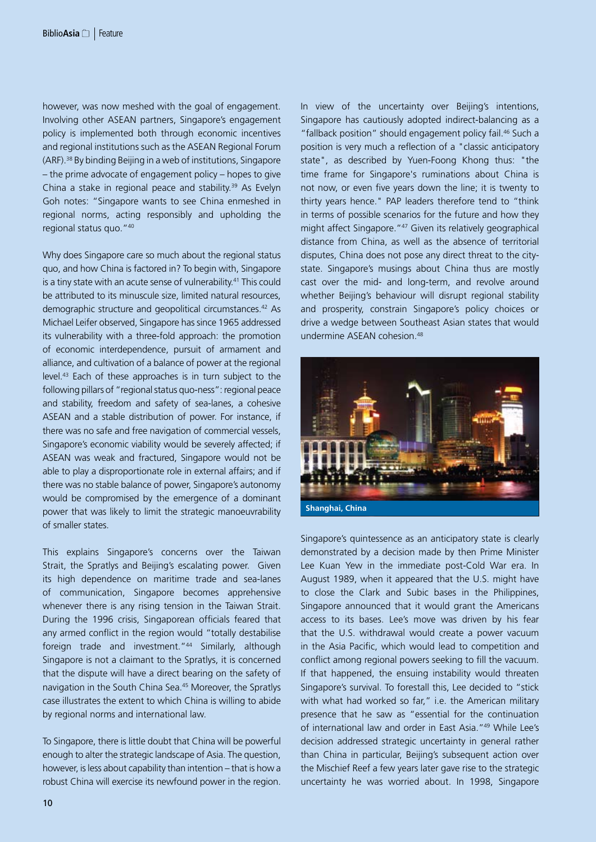however, was now meshed with the goal of engagement. Involving other ASEAN partners, Singapore's engagement policy is implemented both through economic incentives and regional institutions such as the ASEAN Regional Forum (ARF).38 By binding Beijing in a web of institutions, Singapore – the prime advocate of engagement policy – hopes to give China a stake in regional peace and stability.39 As Evelyn Goh notes: "Singapore wants to see China enmeshed in regional norms, acting responsibly and upholding the regional status quo."40

Why does Singapore care so much about the regional status quo, and how China is factored in? To begin with, Singapore is a tiny state with an acute sense of vulnerability.<sup>41</sup> This could be attributed to its minuscule size, limited natural resources, demographic structure and geopolitical circumstances.42 As Michael Leifer observed, Singapore has since 1965 addressed its vulnerability with a three-fold approach: the promotion of economic interdependence, pursuit of armament and alliance, and cultivation of a balance of power at the regional level.43 Each of these approaches is in turn subject to the following pillars of "regional status quo-ness": regional peace and stability, freedom and safety of sea-lanes, a cohesive ASEAN and a stable distribution of power. For instance, if there was no safe and free navigation of commercial vessels, Singapore's economic viability would be severely affected; if ASEAN was weak and fractured, Singapore would not be able to play a disproportionate role in external affairs; and if there was no stable balance of power, Singapore's autonomy would be compromised by the emergence of a dominant power that was likely to limit the strategic manoeuvrability of smaller states.

This explains Singapore's concerns over the Taiwan Strait, the Spratlys and Beijing's escalating power. Given its high dependence on maritime trade and sea-lanes of communication, Singapore becomes apprehensive whenever there is any rising tension in the Taiwan Strait. During the 1996 crisis, Singaporean officials feared that any armed conflict in the region would "totally destabilise foreign trade and investment."<sup>44</sup> Similarly, although Singapore is not a claimant to the Spratlys, it is concerned that the dispute will have a direct bearing on the safety of navigation in the South China Sea.45 Moreover, the Spratlys case illustrates the extent to which China is willing to abide by regional norms and international law.

To Singapore, there is little doubt that China will be powerful enough to alter the strategic landscape of Asia. The question, however, is less about capability than intention – that is how a robust China will exercise its newfound power in the region.

In view of the uncertainty over Beijing's intentions, Singapore has cautiously adopted indirect-balancing as a "fallback position" should engagement policy fail.<sup>46</sup> Such a position is very much a reflection of a "classic anticipatory state", as described by Yuen-Foong Khong thus: "the time frame for Singapore's ruminations about China is not now, or even five years down the line; it is twenty to thirty years hence." PAP leaders therefore tend to "think in terms of possible scenarios for the future and how they might affect Singapore."47 Given its relatively geographical distance from China, as well as the absence of territorial disputes, China does not pose any direct threat to the citystate. Singapore's musings about China thus are mostly cast over the mid- and long-term, and revolve around whether Beijing's behaviour will disrupt regional stability and prosperity, constrain Singapore's policy choices or drive a wedge between Southeast Asian states that would undermine ASEAN cohesion.48



**Shanghai, China**

Singapore's quintessence as an anticipatory state is clearly demonstrated by a decision made by then Prime Minister Lee Kuan Yew in the immediate post-Cold War era. In August 1989, when it appeared that the U.S. might have to close the Clark and Subic bases in the Philippines, Singapore announced that it would grant the Americans access to its bases. Lee's move was driven by his fear that the U.S. withdrawal would create a power vacuum in the Asia Pacific, which would lead to competition and conflict among regional powers seeking to fill the vacuum. If that happened, the ensuing instability would threaten Singapore's survival. To forestall this, Lee decided to "stick with what had worked so far," i.e. the American military presence that he saw as "essential for the continuation of international law and order in East Asia."49 While Lee's decision addressed strategic uncertainty in general rather than China in particular, Beijing's subsequent action over the Mischief Reef a few years later gave rise to the strategic uncertainty he was worried about. In 1998, Singapore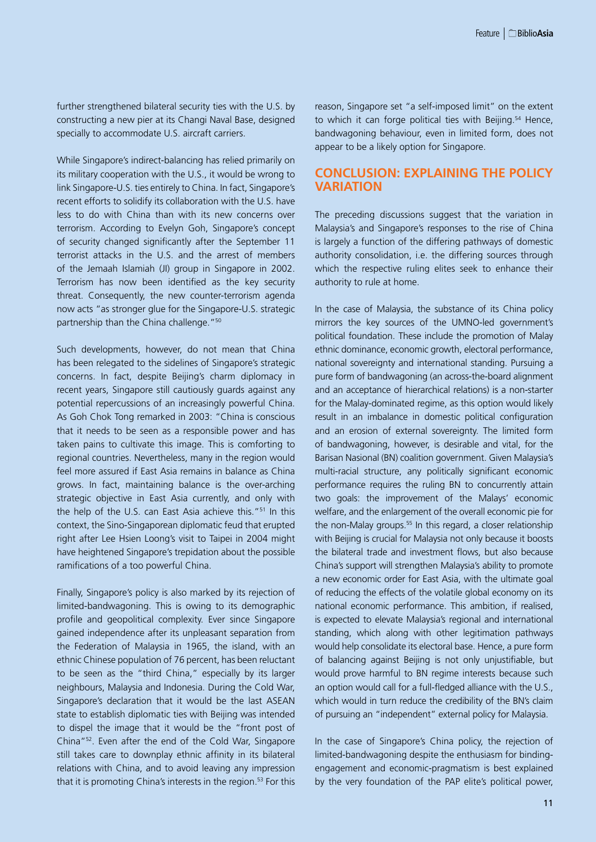further strengthened bilateral security ties with the U.S. by constructing a new pier at its Changi Naval Base, designed specially to accommodate U.S. aircraft carriers.

While Singapore's indirect-balancing has relied primarily on its military cooperation with the U.S., it would be wrong to link Singapore-U.S. ties entirely to China. In fact, Singapore's recent efforts to solidify its collaboration with the U.S. have less to do with China than with its new concerns over terrorism. According to Evelyn Goh, Singapore's concept of security changed significantly after the September 11 terrorist attacks in the U.S. and the arrest of members of the Jemaah Islamiah (JI) group in Singapore in 2002. Terrorism has now been identified as the key security threat. Consequently, the new counter-terrorism agenda now acts "as stronger glue for the Singapore-U.S. strategic partnership than the China challenge."<sup>50</sup>

Such developments, however, do not mean that China has been relegated to the sidelines of Singapore's strategic concerns. In fact, despite Beijing's charm diplomacy in recent years, Singapore still cautiously guards against any potential repercussions of an increasingly powerful China. As Goh Chok Tong remarked in 2003: "China is conscious that it needs to be seen as a responsible power and has taken pains to cultivate this image. This is comforting to regional countries. Nevertheless, many in the region would feel more assured if East Asia remains in balance as China grows. In fact, maintaining balance is the over-arching strategic objective in East Asia currently, and only with the help of the U.S. can East Asia achieve this."51 In this context, the Sino-Singaporean diplomatic feud that erupted right after Lee Hsien Loong's visit to Taipei in 2004 might have heightened Singapore's trepidation about the possible ramifications of a too powerful China.

Finally, Singapore's policy is also marked by its rejection of limited-bandwagoning. This is owing to its demographic profile and geopolitical complexity. Ever since Singapore gained independence after its unpleasant separation from the Federation of Malaysia in 1965, the island, with an ethnic Chinese population of 76 percent, has been reluctant to be seen as the "third China," especially by its larger neighbours, Malaysia and Indonesia. During the Cold War, Singapore's declaration that it would be the last ASEAN state to establish diplomatic ties with Beijing was intended to dispel the image that it would be the "front post of China"52. Even after the end of the Cold War, Singapore still takes care to downplay ethnic affinity in its bilateral relations with China, and to avoid leaving any impression that it is promoting China's interests in the region.<sup>53</sup> For this reason, Singapore set "a self-imposed limit" on the extent to which it can forge political ties with Beijing.<sup>54</sup> Hence, bandwagoning behaviour, even in limited form, does not appear to be a likely option for Singapore.

#### **Conclusion: Explaining the Policy Variation**

The preceding discussions suggest that the variation in Malaysia's and Singapore's responses to the rise of China is largely a function of the differing pathways of domestic authority consolidation, i.e. the differing sources through which the respective ruling elites seek to enhance their authority to rule at home.

In the case of Malaysia, the substance of its China policy mirrors the key sources of the UMNO-led government's political foundation. These include the promotion of Malay ethnic dominance, economic growth, electoral performance, national sovereignty and international standing. Pursuing a pure form of bandwagoning (an across-the-board alignment and an acceptance of hierarchical relations) is a non-starter for the Malay-dominated regime, as this option would likely result in an imbalance in domestic political configuration and an erosion of external sovereignty. The limited form of bandwagoning, however, is desirable and vital, for the Barisan Nasional (BN) coalition government. Given Malaysia's multi-racial structure, any politically significant economic performance requires the ruling BN to concurrently attain two goals: the improvement of the Malays' economic welfare, and the enlargement of the overall economic pie for the non-Malay groups.<sup>55</sup> In this regard, a closer relationship with Beijing is crucial for Malaysia not only because it boosts the bilateral trade and investment flows, but also because China's support will strengthen Malaysia's ability to promote a new economic order for East Asia, with the ultimate goal of reducing the effects of the volatile global economy on its national economic performance. This ambition, if realised, is expected to elevate Malaysia's regional and international standing, which along with other legitimation pathways would help consolidate its electoral base. Hence, a pure form of balancing against Beijing is not only unjustifiable, but would prove harmful to BN regime interests because such an option would call for a full-fledged alliance with the U.S., which would in turn reduce the credibility of the BN's claim of pursuing an "independent" external policy for Malaysia.

In the case of Singapore's China policy, the rejection of limited-bandwagoning despite the enthusiasm for bindingengagement and economic-pragmatism is best explained by the very foundation of the PAP elite's political power,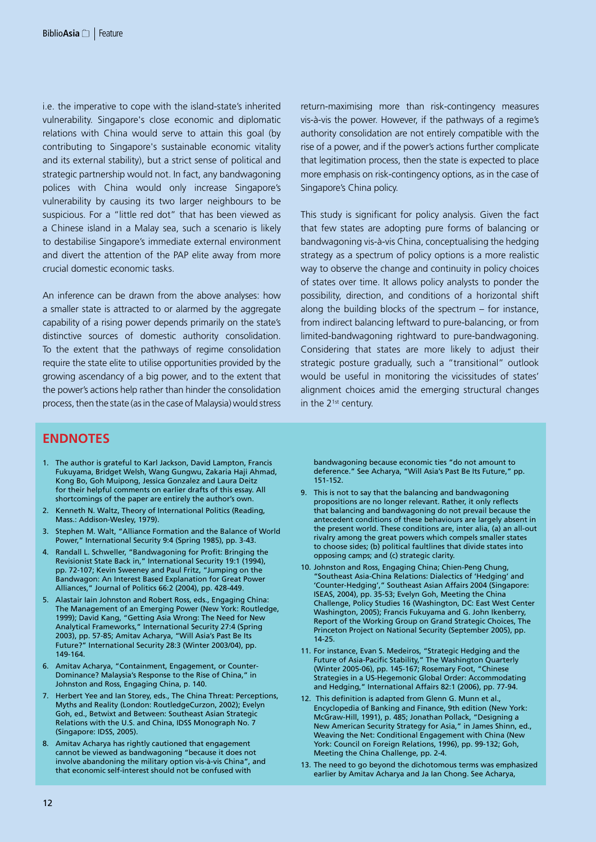i.e. the imperative to cope with the island-state's inherited vulnerability. Singapore's close economic and diplomatic relations with China would serve to attain this goal (by contributing to Singapore's sustainable economic vitality and its external stability), but a strict sense of political and strategic partnership would not. In fact, any bandwagoning polices with China would only increase Singapore's vulnerability by causing its two larger neighbours to be suspicious. For a "little red dot" that has been viewed as a Chinese island in a Malay sea, such a scenario is likely to destabilise Singapore's immediate external environment and divert the attention of the PAP elite away from more crucial domestic economic tasks.

An inference can be drawn from the above analyses: how a smaller state is attracted to or alarmed by the aggregate capability of a rising power depends primarily on the state's distinctive sources of domestic authority consolidation. To the extent that the pathways of regime consolidation require the state elite to utilise opportunities provided by the growing ascendancy of a big power, and to the extent that the power's actions help rather than hinder the consolidation process, then the state (as in the case of Malaysia) would stress return-maximising more than risk-contingency measures vis-à-vis the power. However, if the pathways of a regime's authority consolidation are not entirely compatible with the rise of a power, and if the power's actions further complicate that legitimation process, then the state is expected to place more emphasis on risk-contingency options, as in the case of Singapore's China policy.

This study is significant for policy analysis. Given the fact that few states are adopting pure forms of balancing or bandwagoning vis-à-vis China, conceptualising the hedging strategy as a spectrum of policy options is a more realistic way to observe the change and continuity in policy choices of states over time. It allows policy analysts to ponder the possibility, direction, and conditions of a horizontal shift along the building blocks of the spectrum – for instance, from indirect balancing leftward to pure-balancing, or from limited-bandwagoning rightward to pure-bandwagoning. Considering that states are more likely to adjust their strategic posture gradually, such a "transitional" outlook would be useful in monitoring the vicissitudes of states' alignment choices amid the emerging structural changes in the 2<sup>1st</sup> century.

## **Endnotes**

- 1. The author is grateful to Karl Jackson, David Lampton, Francis Fukuyama, Bridget Welsh, Wang Gungwu, Zakaria Haji Ahmad, Kong Bo, Goh Muipong, Jessica Gonzalez and Laura Deitz for their helpful comments on earlier drafts of this essay. All shortcomings of the paper are entirely the author's own.
- 2. Kenneth N. Waltz, Theory of International Politics (Reading, Mass.: Addison-Wesley, 1979).
- 3. Stephen M. Walt, "Alliance Formation and the Balance of World Power," International Security 9:4 (Spring 1985), pp. 3-43.
- 4. Randall L. Schweller, "Bandwagoning for Profit: Bringing the Revisionist State Back in," International Security 19:1 (1994), pp. 72-107; Kevin Sweeney and Paul Fritz, "Jumping on the Bandwagon: An Interest Based Explanation for Great Power Alliances," Journal of Politics 66:2 (2004), pp. 428-449.
- 5. Alastair Iain Johnston and Robert Ross, eds., Engaging China: The Management of an Emerging Power (New York: Routledge, 1999); David Kang, "Getting Asia Wrong: The Need for New Analytical Frameworks," International Security 27:4 (Spring 2003), pp. 57-85; Amitav Acharya, "Will Asia's Past Be Its Future?" International Security 28:3 (Winter 2003/04), pp. 149-164.
- 6. Amitav Acharya, "Containment, Engagement, or Counter-Dominance? Malaysia's Response to the Rise of China," in Johnston and Ross, Engaging China, p. 140.
- 7. Herbert Yee and Ian Storey, eds., The China Threat: Perceptions, Myths and Reality (London: RoutledgeCurzon, 2002); Evelyn Goh, ed., Betwixt and Between: Southeast Asian Strategic Relations with the U.S. and China, IDSS Monograph No. 7 (Singapore: IDSS, 2005).
- 8. Amitav Acharya has rightly cautioned that engagement cannot be viewed as bandwagoning "because it does not involve abandoning the military option vis-à-vis China", and that economic self-interest should not be confused with

bandwagoning because economic ties "do not amount to deference." See Acharya, "Will Asia's Past Be Its Future," pp. 151-152.

- 9. This is not to say that the balancing and bandwagoning propositions are no longer relevant. Rather, it only reflects that balancing and bandwagoning do not prevail because the antecedent conditions of these behaviours are largely absent in the present world. These conditions are, inter alia, (a) an all-out rivalry among the great powers which compels smaller states to choose sides; (b) political faultlines that divide states into opposing camps; and (c) strategic clarity.
- 10. Johnston and Ross, Engaging China; Chien-Peng Chung, "Southeast Asia-China Relations: Dialectics of 'Hedging' and 'Counter-Hedging'," Southeast Asian Affairs 2004 (Singapore: ISEAS, 2004), pp. 35-53; Evelyn Goh, Meeting the China Challenge, Policy Studies 16 (Washington, DC: East West Center Washington, 2005); Francis Fukuyama and G. John Ikenberry, Report of the Working Group on Grand Strategic Choices, The Princeton Project on National Security (September 2005), pp. 14-25.
- 11. For instance, Evan S. Medeiros, "Strategic Hedging and the Future of Asia-Pacific Stability," The Washington Quarterly (Winter 2005-06), pp. 145-167; Rosemary Foot, "Chinese Strategies in a US-Hegemonic Global Order: Accommodating and Hedging," International Affairs 82:1 (2006), pp. 77-94.
- 12. This definition is adapted from Glenn G. Munn et al., Encyclopedia of Banking and Finance, 9th edition (New York: McGraw-Hill, 1991), p. 485; Jonathan Pollack, "Designing a New American Security Strategy for Asia," in James Shinn, ed., Weaving the Net: Conditional Engagement with China (New York: Council on Foreign Relations, 1996), pp. 99-132; Goh, Meeting the China Challenge, pp. 2-4.
- 13. The need to go beyond the dichotomous terms was emphasized earlier by Amitav Acharya and Ja Ian Chong. See Acharya,